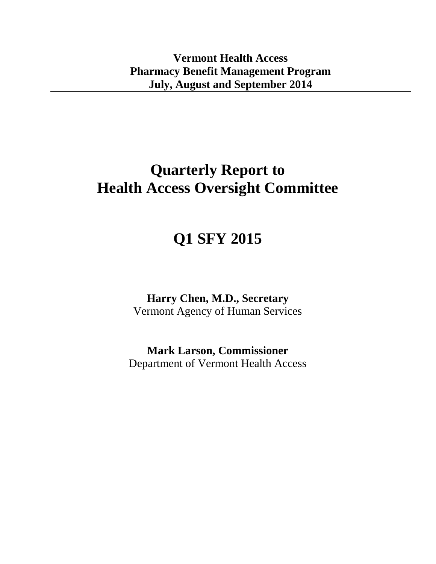## **Quarterly Report to Health Access Oversight Committee**

# **Q1 SFY 2015**

**Harry Chen, M.D., Secretary** Vermont Agency of Human Services

**Mark Larson, Commissioner** Department of Vermont Health Access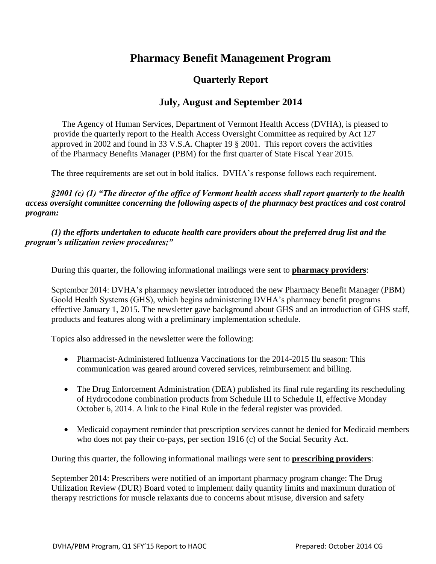## **Pharmacy Benefit Management Program**

## **Quarterly Report**

### **July, August and September 2014**

 The Agency of Human Services, Department of Vermont Health Access (DVHA), is pleased to provide the quarterly report to the Health Access Oversight Committee as required by Act 127 approved in 2002 and found in 33 V.S.A. Chapter 19 § 2001. This report covers the activities of the Pharmacy Benefits Manager (PBM) for the first quarter of State Fiscal Year 2015.

The three requirements are set out in bold italics. DVHA's response follows each requirement.

*§2001 (c) (1) "The director of the office of Vermont health access shall report quarterly to the health access oversight committee concerning the following aspects of the pharmacy best practices and cost control program:*

### *(1) the efforts undertaken to educate health care providers about the preferred drug list and the program's utilization review procedures;"*

During this quarter, the following informational mailings were sent to **pharmacy providers**:

September 2014: DVHA's pharmacy newsletter introduced the new Pharmacy Benefit Manager (PBM) Goold Health Systems (GHS), which begins administering DVHA's pharmacy benefit programs effective January 1, 2015. The newsletter gave background about GHS and an introduction of GHS staff, products and features along with a preliminary implementation schedule.

Topics also addressed in the newsletter were the following:

- Pharmacist-Administered Influenza Vaccinations for the 2014-2015 flu season: This communication was geared around covered services, reimbursement and billing.
- The Drug Enforcement Administration (DEA) published its final rule regarding its rescheduling of Hydrocodone combination products from Schedule III to Schedule II, effective Monday October 6, 2014. A link to the Final Rule in the federal register was provided.
- Medicaid copayment reminder that prescription services cannot be denied for Medicaid members who does not pay their co-pays, per section 1916 (c) of the Social Security Act.

During this quarter, the following informational mailings were sent to **prescribing providers**:

September 2014: Prescribers were notified of an important pharmacy program change: The Drug Utilization Review (DUR) Board voted to implement daily quantity limits and maximum duration of therapy restrictions for muscle relaxants due to concerns about misuse, diversion and safety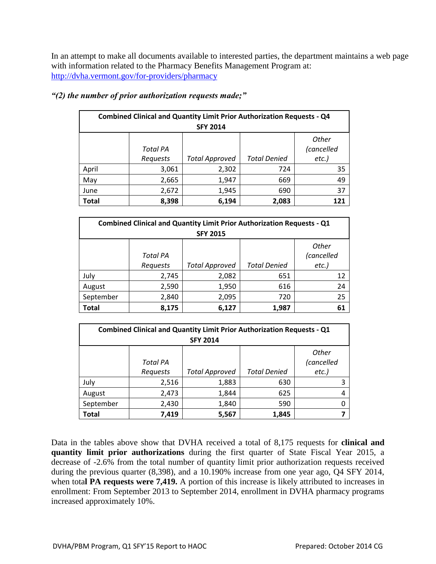In an attempt to make all documents available to interested parties, the department maintains a web page with information related to the Pharmacy Benefits Management Program at: <http://dvha.vermont.gov/for-providers/pharmacy>

| <b>Combined Clinical and Quantity Limit Prior Authorization Requests - Q4</b><br><b>SFY 2014</b> |                 |                       |                     |                     |
|--------------------------------------------------------------------------------------------------|-----------------|-----------------------|---------------------|---------------------|
|                                                                                                  | <b>Total PA</b> |                       |                     | Other<br>(cancelled |
|                                                                                                  | Requests        | <b>Total Approved</b> | <b>Total Denied</b> | $etc.$ )            |
| April                                                                                            | 3,061           | 2,302                 | 724                 | 35                  |
| May                                                                                              | 2,665           | 1,947                 | 669                 | 49                  |
| June                                                                                             | 2,672           | 1,945                 | 690                 | 37                  |
| <b>Total</b>                                                                                     | 8,398           | 6,194                 | 2,083               | 121                 |

#### *"(2) the number of prior authorization requests made;"*

| <b>Combined Clinical and Quantity Limit Prior Authorization Requests - Q1</b><br><b>SFY 2015</b> |                 |                       |                     |                            |
|--------------------------------------------------------------------------------------------------|-----------------|-----------------------|---------------------|----------------------------|
|                                                                                                  | <b>Total PA</b> |                       |                     | <b>Other</b><br>(cancelled |
|                                                                                                  | Requests        | <b>Total Approved</b> | <b>Total Denied</b> | $etc.$ )                   |
| July                                                                                             | 2,745           | 2,082                 | 651                 | 12                         |
| August                                                                                           | 2,590           | 1,950                 | 616                 | 24                         |
| September                                                                                        | 2,840           | 2,095                 | 720                 | 25                         |
| <b>Total</b>                                                                                     | 8,175           | 6,127                 | 1,987               | 61                         |

| <b>Combined Clinical and Quantity Limit Prior Authorization Requests - Q1</b> |                 |                       |                     |              |  |
|-------------------------------------------------------------------------------|-----------------|-----------------------|---------------------|--------------|--|
| <b>SFY 2014</b>                                                               |                 |                       |                     |              |  |
|                                                                               |                 |                       |                     | <b>Other</b> |  |
|                                                                               | <b>Total PA</b> |                       |                     | (cancelled   |  |
|                                                                               | Requests        | <b>Total Approved</b> | <b>Total Denied</b> | $etc.$ )     |  |
| July                                                                          | 2,516           | 1,883                 | 630                 |              |  |
| August                                                                        | 2,473           | 1,844                 | 625                 |              |  |
| September                                                                     | 2,430           | 1,840                 | 590                 |              |  |
| <b>Total</b>                                                                  | 7,419           | 5,567                 | 1,845               |              |  |

Data in the tables above show that DVHA received a total of 8,175 requests for **clinical and quantity limit prior authorizations** during the first quarter of State Fiscal Year 2015, a decrease of -2.6% from the total number of quantity limit prior authorization requests received during the previous quarter (8,398), and a 10.190% increase from one year ago, Q4 SFY 2014, when total **PA requests were 7,419.** A portion of this increase is likely attributed to increases in enrollment: From September 2013 to September 2014, enrollment in DVHA pharmacy programs increased approximately 10%.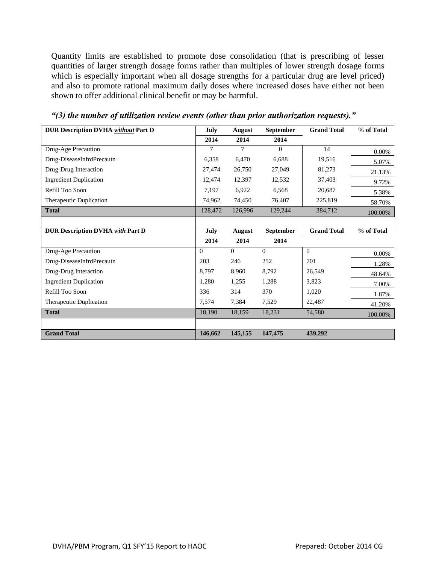Quantity limits are established to promote dose consolidation (that is prescribing of lesser quantities of larger strength dosage forms rather than multiples of lower strength dosage forms which is especially important when all dosage strengths for a particular drug are level priced) and also to promote rational maximum daily doses where increased doses have either not been shown to offer additional clinical benefit or may be harmful.

| <b>DUR Description DVHA without Part D</b> | July        | August   | September        | <b>Grand Total</b> | % of Total |
|--------------------------------------------|-------------|----------|------------------|--------------------|------------|
|                                            | 2014        | 2014     | 2014             |                    |            |
| Drug-Age Precaution                        | 7           | 7        | $\theta$         | 14                 | 0.00%      |
| Drug-DiseaseInfrdPrecautn                  | 6,358       | 6,470    | 6,688            | 19,516             | 5.07%      |
| Drug-Drug Interaction                      | 27,474      | 26,750   | 27,049           | 81,273             | 21.13%     |
| <b>Ingredient Duplication</b>              | 12,474      | 12,397   | 12,532           | 37,403             | 9.72%      |
| Refill Too Soon                            | 7,197       | 6,922    | 6,568            | 20,687             | 5.38%      |
| Therapeutic Duplication                    | 74,962      | 74,450   | 76,407           | 225,819            | 58.70%     |
| <b>Total</b>                               | 128,472     | 126,996  | 129,244          | 384,712            | 100.00%    |
|                                            |             |          |                  |                    |            |
| <b>DUR Description DVHA with Part D</b>    | <b>July</b> | August   | <b>September</b> | <b>Grand Total</b> | % of Total |
|                                            | 2014        | 2014     | 2014             |                    |            |
| Drug-Age Precaution                        | $\Omega$    | $\Omega$ | $\overline{0}$   | $\overline{0}$     | 0.00%      |
| Drug-DiseaseInfrdPrecautn                  | 203         | 246      | 252              | 701                | 1.28%      |
| Drug-Drug Interaction                      | 8,797       | 8,960    | 8,792            | 26,549             | 48.64%     |
| <b>Ingredient Duplication</b>              | 1,280       | 1,255    | 1,288            | 3,823              | 7.00%      |
| Refill Too Soon                            | 336         | 314      | 370              | 1,020              | 1.87%      |
| Therapeutic Duplication                    | 7,574       | 7,384    | 7,529            | 22,487             | 41.20%     |
| <b>Total</b>                               | 18,190      | 18,159   | 18,231           | 54,580             | 100.00%    |
|                                            |             |          |                  |                    |            |
| <b>Grand Total</b>                         | 146,662     | 145,155  | 147,475          | 439,292            |            |

*"(3) the number of utilization review events (other than prior authorization requests)."*